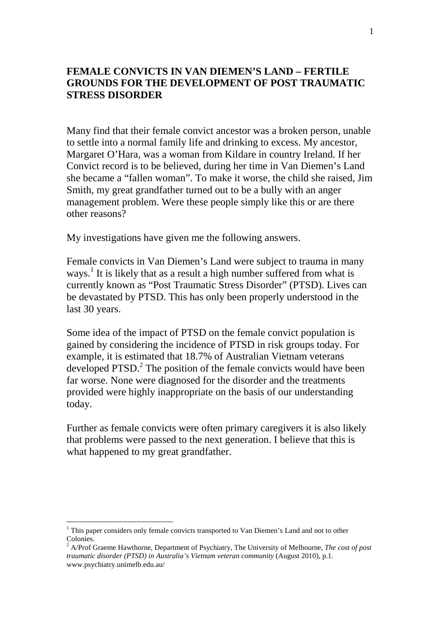## **FEMALE CONVICTS IN VAN DIEMEN'S LAND – FERTILE GROUNDS FOR THE DEVELOPMENT OF POST TRAUMATIC STRESS DISORDER**

Many find that their female convict ancestor was a broken person, unable to settle into a normal family life and drinking to excess. My ancestor, Margaret O'Hara, was a woman from Kildare in country Ireland. If her Convict record is to be believed, during her time in Van Diemen's Land she became a "fallen woman". To make it worse, the child she raised, Jim Smith, my great grandfather turned out to be a bully with an anger management problem. Were these people simply like this or are there other reasons?

My investigations have given me the following answers.

Female convicts in Van Diemen's Land were subject to trauma in many ways.<sup>1</sup> It is likely that as a result a high number suffered from what is currently known as "Post Traumatic Stress Disorder" (PTSD). Lives can be devastated by PTSD. This has only been properly understood in the last 30 years.

Some idea of the impact of PTSD on the female convict population is gained by considering the incidence of PTSD in risk groups today. For example, it is estimated that 18.7% of Australian Vietnam veterans developed PTSD.<sup>2</sup> The position of the female convicts would have been far worse. None were diagnosed for the disorder and the treatments provided were highly inappropriate on the basis of our understanding today.

Further as female convicts were often primary caregivers it is also likely that problems were passed to the next generation. I believe that this is what happened to my great grandfather.

<sup>&</sup>lt;sup>1</sup> This paper considers only female convicts transported to Van Diemen's Land and not to other Colonies.

<sup>2</sup> A/Prof Graeme Hawthorne, Department of Psychiatry, The University of Melbourne, *The cost of post traumatic disorder (PTSD) in Australia's Vietnam veteran community* (August 2010)*,* p.1. www.psychiatry.unimelb.edu.au/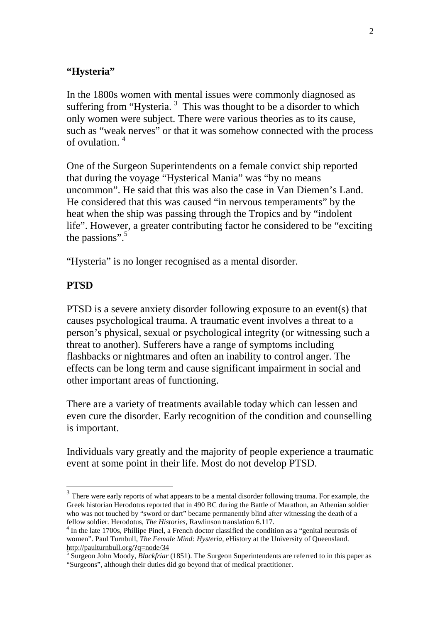## **"Hysteria"**

In the 1800s women with mental issues were commonly diagnosed as suffering from "Hysteria.<sup>3</sup> This was thought to be a disorder to which only women were subject. There were various theories as to its cause, such as "weak nerves" or that it was somehow connected with the process of ovulation. <sup>4</sup>

One of the Surgeon Superintendents on a female convict ship reported that during the voyage "Hysterical Mania" was "by no means uncommon". He said that this was also the case in Van Diemen's Land. He considered that this was caused "in nervous temperaments" by the heat when the ship was passing through the Tropics and by "indolent life". However, a greater contributing factor he considered to be "exciting the passions". $5$ 

"Hysteria" is no longer recognised as a mental disorder.

## **PTSD**

 $\overline{a}$ 

PTSD is a severe anxiety disorder following exposure to an event(s) that causes psychological trauma. A traumatic event involves a threat to a person's physical, sexual or psychological integrity (or witnessing such a threat to another). Sufferers have a range of symptoms including flashbacks or nightmares and often an inability to control anger. The effects can be long term and cause significant impairment in social and other important areas of functioning.

There are a variety of treatments available today which can lessen and even cure the disorder. Early recognition of the condition and counselling is important.

Individuals vary greatly and the majority of people experience a traumatic event at some point in their life. Most do not develop PTSD.

 $3$  There were early reports of what appears to be a mental disorder following trauma. For example, the Greek historian Herodotus reported that in 490 BC during the Battle of Marathon, an Athenian soldier who was not touched by "sword or dart" became permanently blind after witnessing the death of a fellow soldier. Herodotus, *The Histories*, Rawlinson translation 6.117.

<sup>&</sup>lt;sup>4</sup> In the late 1700s, Phillipe Pinel, a French doctor classified the condition as a "genital neurosis of women". Paul Turnbull, *The Female Mind: Hysteria,* eHistory at the University of Queensland.

http://paulturnbull.org/?q=node/34 5 Surgeon John Moody, *Blackfriar* (1851). The Surgeon Superintendents are referred to in this paper as "Surgeons", although their duties did go beyond that of medical practitioner.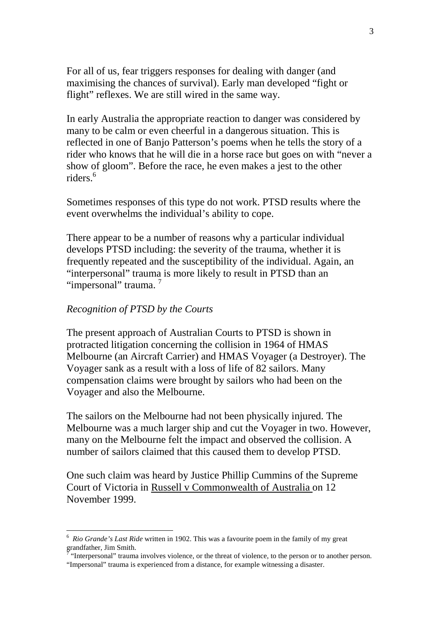For all of us, fear triggers responses for dealing with danger (and maximising the chances of survival). Early man developed "fight or flight" reflexes. We are still wired in the same way.

In early Australia the appropriate reaction to danger was considered by many to be calm or even cheerful in a dangerous situation. This is reflected in one of Banjo Patterson's poems when he tells the story of a rider who knows that he will die in a horse race but goes on with "never a show of gloom". Before the race, he even makes a jest to the other riders<sup>6</sup>

Sometimes responses of this type do not work. PTSD results where the event overwhelms the individual's ability to cope.

There appear to be a number of reasons why a particular individual develops PTSD including: the severity of the trauma, whether it is frequently repeated and the susceptibility of the individual. Again, an "interpersonal" trauma is more likely to result in PTSD than an "impersonal" trauma.

#### *Recognition of PTSD by the Courts*

 $\overline{a}$ 

The present approach of Australian Courts to PTSD is shown in protracted litigation concerning the collision in 1964 of HMAS Melbourne (an Aircraft Carrier) and HMAS Voyager (a Destroyer). The Voyager sank as a result with a loss of life of 82 sailors. Many compensation claims were brought by sailors who had been on the Voyager and also the Melbourne.

The sailors on the Melbourne had not been physically injured. The Melbourne was a much larger ship and cut the Voyager in two. However, many on the Melbourne felt the impact and observed the collision. A number of sailors claimed that this caused them to develop PTSD.

One such claim was heard by Justice Phillip Cummins of the Supreme Court of Victoria in Russell v Commonwealth of Australia on 12 November 1999.

<sup>6</sup> *Rio Grande's Last Ride* written in 1902. This was a favourite poem in the family of my great grandfather, Jim Smith.<br><sup>7</sup> "International" trauma

 <sup>&</sup>quot;Interpersonal" trauma involves violence, or the threat of violence, to the person or to another person. "Impersonal" trauma is experienced from a distance, for example witnessing a disaster.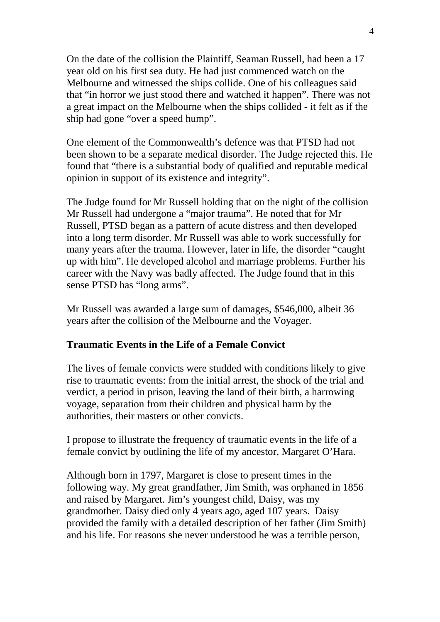On the date of the collision the Plaintiff, Seaman Russell, had been a 17 year old on his first sea duty. He had just commenced watch on the Melbourne and witnessed the ships collide. One of his colleagues said that "in horror we just stood there and watched it happen". There was not a great impact on the Melbourne when the ships collided - it felt as if the ship had gone "over a speed hump".

One element of the Commonwealth's defence was that PTSD had not been shown to be a separate medical disorder. The Judge rejected this. He found that "there is a substantial body of qualified and reputable medical opinion in support of its existence and integrity".

The Judge found for Mr Russell holding that on the night of the collision Mr Russell had undergone a "major trauma". He noted that for Mr Russell, PTSD began as a pattern of acute distress and then developed into a long term disorder. Mr Russell was able to work successfully for many years after the trauma. However, later in life, the disorder "caught up with him". He developed alcohol and marriage problems. Further his career with the Navy was badly affected. The Judge found that in this sense PTSD has "long arms".

Mr Russell was awarded a large sum of damages, \$546,000, albeit 36 years after the collision of the Melbourne and the Voyager.

### **Traumatic Events in the Life of a Female Convict**

The lives of female convicts were studded with conditions likely to give rise to traumatic events: from the initial arrest, the shock of the trial and verdict, a period in prison, leaving the land of their birth, a harrowing voyage, separation from their children and physical harm by the authorities, their masters or other convicts.

I propose to illustrate the frequency of traumatic events in the life of a female convict by outlining the life of my ancestor, Margaret O'Hara.

Although born in 1797, Margaret is close to present times in the following way. My great grandfather, Jim Smith, was orphaned in 1856 and raised by Margaret. Jim's youngest child, Daisy, was my grandmother. Daisy died only 4 years ago, aged 107 years. Daisy provided the family with a detailed description of her father (Jim Smith) and his life. For reasons she never understood he was a terrible person,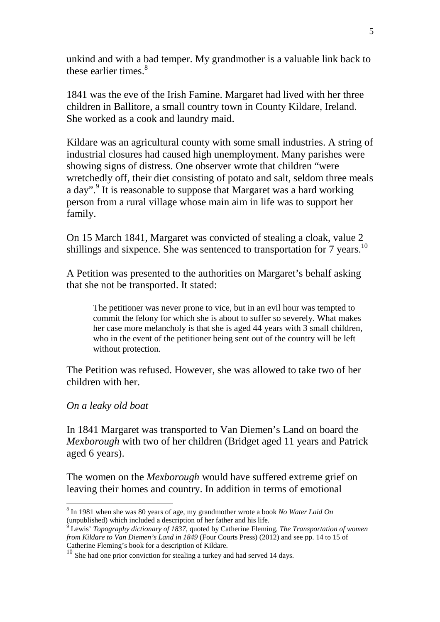unkind and with a bad temper. My grandmother is a valuable link back to these earlier times  $8$ 

1841 was the eve of the Irish Famine. Margaret had lived with her three children in Ballitore, a small country town in County Kildare, Ireland. She worked as a cook and laundry maid.

Kildare was an agricultural county with some small industries. A string of industrial closures had caused high unemployment. Many parishes were showing signs of distress. One observer wrote that children "were wretchedly off, their diet consisting of potato and salt, seldom three meals a day".<sup>9</sup> It is reasonable to suppose that Margaret was a hard working person from a rural village whose main aim in life was to support her family.

On 15 March 1841, Margaret was convicted of stealing a cloak, value 2 shillings and sixpence. She was sentenced to transportation for 7 years.<sup>10</sup>

A Petition was presented to the authorities on Margaret's behalf asking that she not be transported. It stated:

The petitioner was never prone to vice, but in an evil hour was tempted to commit the felony for which she is about to suffer so severely. What makes her case more melancholy is that she is aged 44 years with 3 small children, who in the event of the petitioner being sent out of the country will be left without protection.

The Petition was refused. However, she was allowed to take two of her children with her.

### *On a leaky old boat*

In 1841 Margaret was transported to Van Diemen's Land on board the *Mexborough* with two of her children (Bridget aged 11 years and Patrick aged 6 years).

The women on the *Mexborough* would have suffered extreme grief on leaving their homes and country. In addition in terms of emotional

 $\overline{a}$ 8 In 1981 when she was 80 years of age, my grandmother wrote a book *No Water Laid On* 

<sup>(</sup>unpublished) which included a description of her father and his life. 9 Lewis' *Topography dictionary of 1837*, quoted by Catherine Fleming, *The Transportation of women from Kildare to Van Diemen's Land in 1849* (Four Courts Press) (2012) and see pp. 14 to 15 of Catherine Fleming's book for a description of Kildare.

<sup>&</sup>lt;sup>10</sup> She had one prior conviction for stealing a turkey and had served 14 days.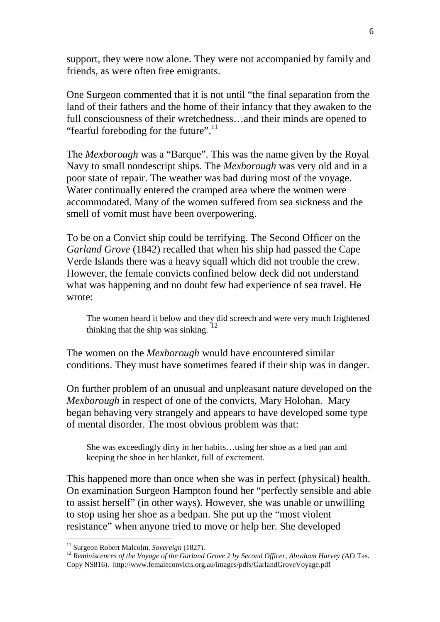support, they were now alone. They were not accompanied by family and friends, as were often free emigrants.

One Surgeon commented that it is not until "the final separation from the land of their fathers and the home of their infancy that they awaken to the full consciousness of their wretchedness…and their minds are opened to "fearful foreboding for the future".<sup>11</sup>

The *Mexborough* was a "Barque". This was the name given by the Royal Navy to small nondescript ships. The *Mexborough* was very old and in a poor state of repair. The weather was bad during most of the voyage. Water continually entered the cramped area where the women were accommodated. Many of the women suffered from sea sickness and the smell of vomit must have been overpowering.

To be on a Convict ship could be terrifying. The Second Officer on the *Garland Grove* (1842) recalled that when his ship had passed the Cape Verde Islands there was a heavy squall which did not trouble the crew. However, the female convicts confined below deck did not understand what was happening and no doubt few had experience of sea travel. He wrote:

The women heard it below and they did screech and were very much frightened thinking that the ship was sinking. <sup>12</sup>

The women on the *Mexborough* would have encountered similar conditions. They must have sometimes feared if their ship was in danger.

On further problem of an unusual and unpleasant nature developed on the *Mexborough* in respect of one of the convicts, Mary Holohan. Mary began behaving very strangely and appears to have developed some type of mental disorder. The most obvious problem was that:

She was exceedingly dirty in her habits…using her shoe as a bed pan and keeping the shoe in her blanket, full of excrement.

This happened more than once when she was in perfect (physical) health. On examination Surgeon Hampton found her "perfectly sensible and able to assist herself" (in other ways). However, she was unable or unwilling to stop using her shoe as a bedpan. She put up the "most violent resistance" when anyone tried to move or help her. She developed

<sup>11</sup> Surgeon Robert Malcolm, *Sovereign* (1827).

<sup>&</sup>lt;sup>12</sup> Reminiscences of the Voyage of the Garland Grove 2 by Second Officer, Abraham Harvey (AO Tas. Copy NS816). http://www.femaleconvicts.org.au/images/pdfs/GarlandGroveVoyage.pdf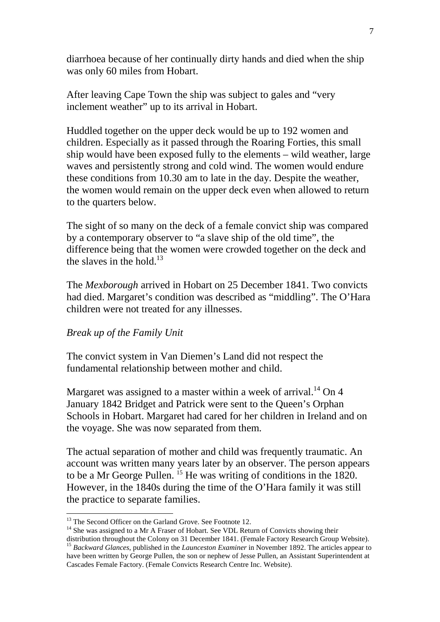diarrhoea because of her continually dirty hands and died when the ship was only 60 miles from Hobart.

After leaving Cape Town the ship was subject to gales and "very inclement weather" up to its arrival in Hobart.

Huddled together on the upper deck would be up to 192 women and children. Especially as it passed through the Roaring Forties, this small ship would have been exposed fully to the elements – wild weather, large waves and persistently strong and cold wind. The women would endure these conditions from 10.30 am to late in the day. Despite the weather, the women would remain on the upper deck even when allowed to return to the quarters below.

The sight of so many on the deck of a female convict ship was compared by a contemporary observer to "a slave ship of the old time", the difference being that the women were crowded together on the deck and the slaves in the hold  $^{13}$ 

The *Mexborough* arrived in Hobart on 25 December 1841. Two convicts had died. Margaret's condition was described as "middling". The O'Hara children were not treated for any illnesses.

### *Break up of the Family Unit*

 $\overline{a}$ 

The convict system in Van Diemen's Land did not respect the fundamental relationship between mother and child.

Margaret was assigned to a master within a week of arrival.<sup>14</sup> On 4 January 1842 Bridget and Patrick were sent to the Queen's Orphan Schools in Hobart. Margaret had cared for her children in Ireland and on the voyage. She was now separated from them.

The actual separation of mother and child was frequently traumatic. An account was written many years later by an observer. The person appears to be a Mr George Pullen. <sup>15</sup> He was writing of conditions in the 1820. However, in the 1840s during the time of the O'Hara family it was still the practice to separate families.

<sup>&</sup>lt;sup>13</sup> The Second Officer on the Garland Grove. See Footnote 12.

<sup>&</sup>lt;sup>14</sup> She was assigned to a Mr A Fraser of Hobart. See VDL Return of Convicts showing their

distribution throughout the Colony on 31 December 1841. (Female Factory Research Group Website). <sup>15</sup> Backward Glances, published in the *Launceston Examiner* in November 1892. The articles appear to have been written by George Pullen, the son or nephew of Jesse Pullen, an Assistant Superintendent at Cascades Female Factory. (Female Convicts Research Centre Inc. Website).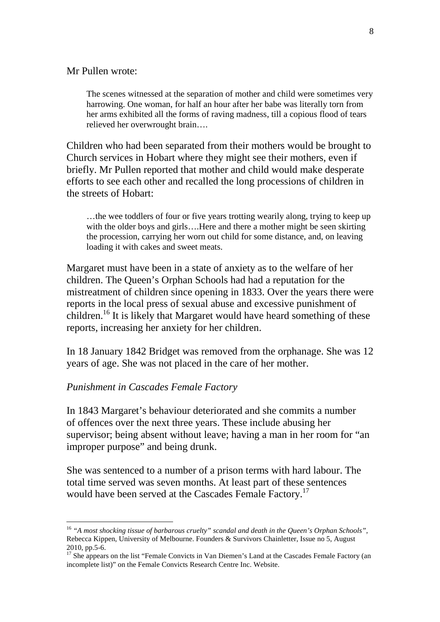#### Mr Pullen wrote:

The scenes witnessed at the separation of mother and child were sometimes very harrowing. One woman, for half an hour after her babe was literally torn from her arms exhibited all the forms of raving madness, till a copious flood of tears relieved her overwrought brain….

Children who had been separated from their mothers would be brought to Church services in Hobart where they might see their mothers, even if briefly. Mr Pullen reported that mother and child would make desperate efforts to see each other and recalled the long processions of children in the streets of Hobart:

…the wee toddlers of four or five years trotting wearily along, trying to keep up with the older boys and girls....Here and there a mother might be seen skirting the procession, carrying her worn out child for some distance, and, on leaving loading it with cakes and sweet meats.

Margaret must have been in a state of anxiety as to the welfare of her children. The Queen's Orphan Schools had had a reputation for the mistreatment of children since opening in 1833. Over the years there were reports in the local press of sexual abuse and excessive punishment of children.<sup>16</sup> It is likely that Margaret would have heard something of these reports, increasing her anxiety for her children.

In 18 January 1842 Bridget was removed from the orphanage. She was 12 years of age. She was not placed in the care of her mother.

#### *Punishment in Cascades Female Factory*

 $\overline{a}$ 

In 1843 Margaret's behaviour deteriorated and she commits a number of offences over the next three years. These include abusing her supervisor; being absent without leave; having a man in her room for "an improper purpose" and being drunk.

She was sentenced to a number of a prison terms with hard labour. The total time served was seven months. At least part of these sentences would have been served at the Cascades Female Factory.<sup>17</sup>

<sup>16</sup> *"A most shocking tissue of barbarous cruelty" scandal and death in the Queen's Orphan Schools",* Rebecca Kippen, University of Melbourne. Founders & Survivors Chainletter, Issue no 5, August 2010, pp.5-6.

<sup>&</sup>lt;sup>17</sup> She appears on the list "Female Convicts in Van Diemen's Land at the Cascades Female Factory (an incomplete list)" on the Female Convicts Research Centre Inc. Website.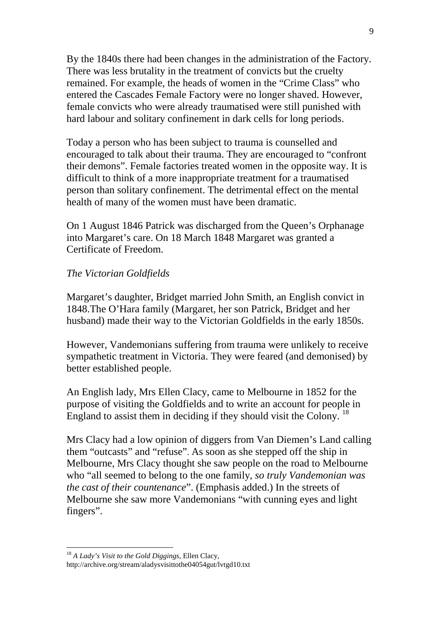By the 1840s there had been changes in the administration of the Factory. There was less brutality in the treatment of convicts but the cruelty remained. For example, the heads of women in the "Crime Class" who entered the Cascades Female Factory were no longer shaved. However, female convicts who were already traumatised were still punished with hard labour and solitary confinement in dark cells for long periods.

Today a person who has been subject to trauma is counselled and encouraged to talk about their trauma. They are encouraged to "confront their demons". Female factories treated women in the opposite way. It is difficult to think of a more inappropriate treatment for a traumatised person than solitary confinement. The detrimental effect on the mental health of many of the women must have been dramatic.

On 1 August 1846 Patrick was discharged from the Queen's Orphanage into Margaret's care. On 18 March 1848 Margaret was granted a Certificate of Freedom.

#### *The Victorian Goldfields*

Margaret's daughter, Bridget married John Smith, an English convict in 1848.The O'Hara family (Margaret, her son Patrick, Bridget and her husband) made their way to the Victorian Goldfields in the early 1850s.

However, Vandemonians suffering from trauma were unlikely to receive sympathetic treatment in Victoria. They were feared (and demonised) by better established people.

An English lady, Mrs Ellen Clacy, came to Melbourne in 1852 for the purpose of visiting the Goldfields and to write an account for people in England to assist them in deciding if they should visit the Colony.  $^{18}$ 

Mrs Clacy had a low opinion of diggers from Van Diemen's Land calling them "outcasts" and "refuse". As soon as she stepped off the ship in Melbourne, Mrs Clacy thought she saw people on the road to Melbourne who "all seemed to belong to the one family, *so truly Vandemonian was the cast of their countenance*". (Emphasis added.) In the streets of Melbourne she saw more Vandemonians "with cunning eyes and light fingers".

<sup>18</sup> *A Lady's Visit to the Gold Diggings,* Ellen Clacy, http://archive.org/stream/aladysvisittothe04054gut/lvtgd10.txt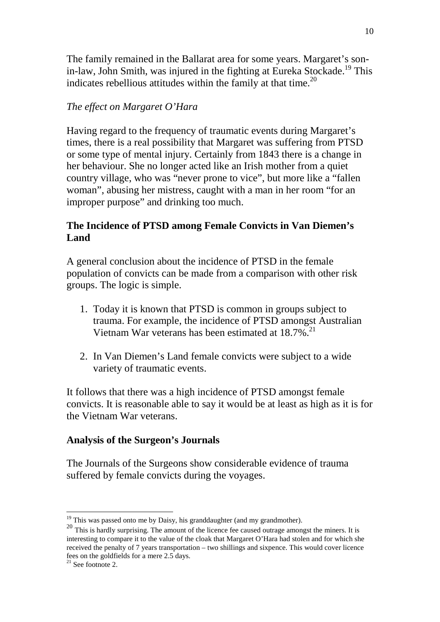The family remained in the Ballarat area for some years. Margaret's sonin-law, John Smith, was injured in the fighting at Eureka Stockade.<sup>19</sup> This indicates rebellious attitudes within the family at that time.<sup>20</sup>

## *The effect on Margaret O'Hara*

Having regard to the frequency of traumatic events during Margaret's times, there is a real possibility that Margaret was suffering from PTSD or some type of mental injury. Certainly from 1843 there is a change in her behaviour. She no longer acted like an Irish mother from a quiet country village, who was "never prone to vice", but more like a "fallen woman", abusing her mistress, caught with a man in her room "for an improper purpose" and drinking too much.

## **The Incidence of PTSD among Female Convicts in Van Diemen's Land**

A general conclusion about the incidence of PTSD in the female population of convicts can be made from a comparison with other risk groups. The logic is simple.

- 1. Today it is known that PTSD is common in groups subject to trauma. For example, the incidence of PTSD amongst Australian Vietnam War veterans has been estimated at 18.7%.<sup>21</sup>
- 2. In Van Diemen's Land female convicts were subject to a wide variety of traumatic events.

It follows that there was a high incidence of PTSD amongst female convicts. It is reasonable able to say it would be at least as high as it is for the Vietnam War veterans.

## **Analysis of the Surgeon's Journals**

The Journals of the Surgeons show considerable evidence of trauma suffered by female convicts during the voyages.

 $19$  This was passed onto me by Daisy, his granddaughter (and my grandmother).

<sup>&</sup>lt;sup>20</sup> This is hardly surprising. The amount of the licence fee caused outrage amongst the miners. It is interesting to compare it to the value of the cloak that Margaret O'Hara had stolen and for which she received the penalty of 7 years transportation – two shillings and sixpence. This would cover licence fees on the goldfields for a mere 2.5 days.

 $21$  See footnote 2.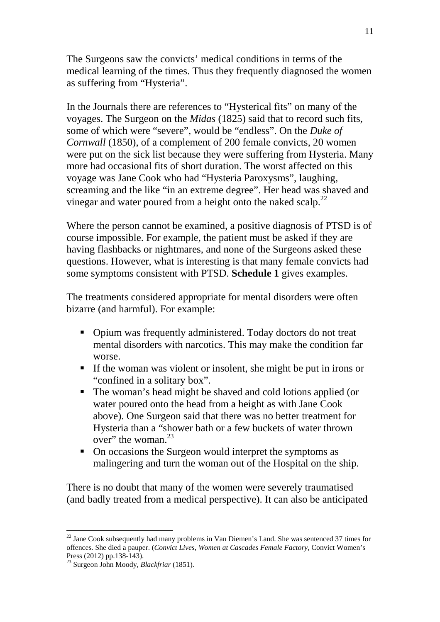The Surgeons saw the convicts' medical conditions in terms of the medical learning of the times. Thus they frequently diagnosed the women as suffering from "Hysteria".

In the Journals there are references to "Hysterical fits" on many of the voyages. The Surgeon on the *Midas* (1825) said that to record such fits, some of which were "severe", would be "endless". On the *Duke of Cornwall* (1850), of a complement of 200 female convicts, 20 women were put on the sick list because they were suffering from Hysteria. Many more had occasional fits of short duration. The worst affected on this voyage was Jane Cook who had "Hysteria Paroxysms", laughing, screaming and the like "in an extreme degree". Her head was shaved and vinegar and water poured from a height onto the naked scalp.<sup>22</sup>

Where the person cannot be examined, a positive diagnosis of PTSD is of course impossible. For example, the patient must be asked if they are having flashbacks or nightmares, and none of the Surgeons asked these questions. However, what is interesting is that many female convicts had some symptoms consistent with PTSD. **Schedule 1** gives examples.

The treatments considered appropriate for mental disorders were often bizarre (and harmful). For example:

- Opium was frequently administered. Today doctors do not treat mental disorders with narcotics. This may make the condition far worse.
- If the woman was violent or insolent, she might be put in irons or "confined in a solitary box".
- The woman's head might be shaved and cold lotions applied (or water poured onto the head from a height as with Jane Cook above). One Surgeon said that there was no better treatment for Hysteria than a "shower bath or a few buckets of water thrown over" the woman.<sup>23</sup>
- On occasions the Surgeon would interpret the symptoms as malingering and turn the woman out of the Hospital on the ship.

There is no doubt that many of the women were severely traumatised (and badly treated from a medical perspective). It can also be anticipated

 $22$  Jane Cook subsequently had many problems in Van Diemen's Land. She was sentenced 37 times for offences. She died a pauper. (*Convict Lives, Women at Cascades Female Factory,* Convict Women's Press (2012) pp.138-143).

<sup>23</sup> Surgeon John Moody, *Blackfriar* (1851)*.*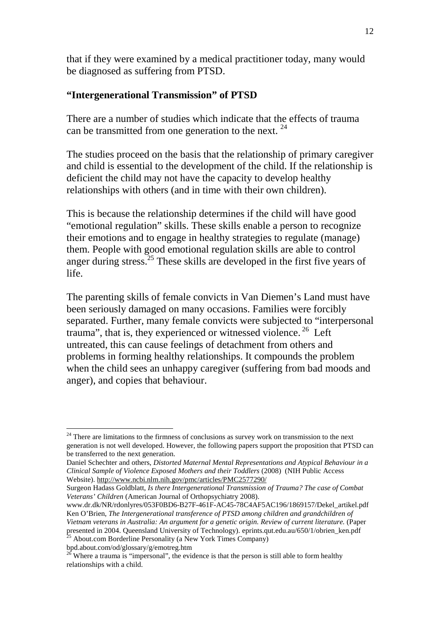that if they were examined by a medical practitioner today, many would be diagnosed as suffering from PTSD.

## **"Intergenerational Transmission" of PTSD**

There are a number of studies which indicate that the effects of trauma can be transmitted from one generation to the next. <sup>24</sup>

The studies proceed on the basis that the relationship of primary caregiver and child is essential to the development of the child. If the relationship is deficient the child may not have the capacity to develop healthy relationships with others (and in time with their own children).

This is because the relationship determines if the child will have good "emotional regulation" skills. These skills enable a person to recognize their emotions and to engage in healthy strategies to regulate (manage) them. People with good emotional regulation skills are able to control anger during stress.<sup>25</sup> These skills are developed in the first five years of life.

The parenting skills of female convicts in Van Diemen's Land must have been seriously damaged on many occasions. Families were forcibly separated. Further, many female convicts were subjected to "interpersonal trauma", that is, they experienced or witnessed violence.<sup>26</sup> Left untreated, this can cause feelings of detachment from others and problems in forming healthy relationships. It compounds the problem when the child sees an unhappy caregiver (suffering from bad moods and anger), and copies that behaviour.

bpd.about.com/od/glossary/g/emotreg.htm

 $24$  There are limitations to the firmness of conclusions as survey work on transmission to the next generation is not well developed. However, the following papers support the proposition that PTSD can be transferred to the next generation.

Daniel Schechter and others, *Distorted Maternal Mental Representations and Atypical Behaviour in a Clinical Sample of Violence Exposed Mothers and their Toddlers* (2008) (NIH Public Access Website). http://www.ncbi.nlm.nih.gov/pmc/articles/PMC2577290/

Surgeon Hadass Goldblatt, *Is there Intergenerational Transmission of Trauma? The case of Combat Veterans' Children* (American Journal of Orthopsychiatry 2008).

www.dr.dk/NR/rdonlyres/053F0BD6-B27F-461F-AC45-78C4AF5AC196/1869157/Dekel\_artikel.pdf Ken O'Brien, *The Intergenerational transference of PTSD among children and grandchildren of Vietnam veterans in Australia: An argument for a genetic origin. Review of current literature.* (Paper presented in 2004. Queensland University of Technology). eprints.qut.edu.au/650/1/obrien\_ken.pdf<br>
<sup>25</sup> About seen Parth die number of the contract of Technology). eprints.qut.edu.au/650/1/obrien\_ken.pdf <sup>25</sup> About.com Borderline Personality (a New York Times Company)

<sup>&</sup>lt;sup>26</sup> Where a trauma is "impersonal", the evidence is that the person is still able to form healthy relationships with a child.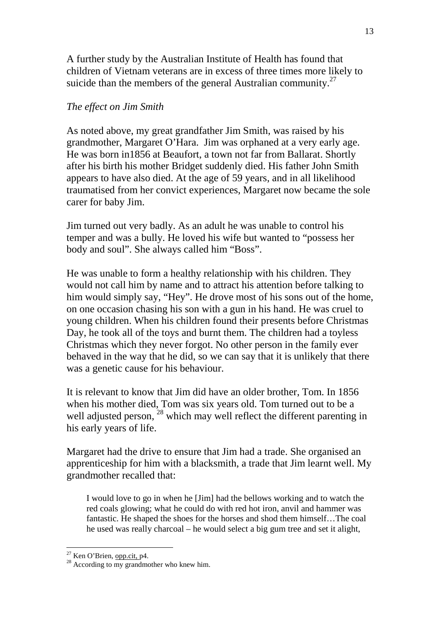A further study by the Australian Institute of Health has found that children of Vietnam veterans are in excess of three times more likely to suicide than the members of the general Australian community.<sup>27</sup>

## *The effect on Jim Smith*

As noted above, my great grandfather Jim Smith, was raised by his grandmother, Margaret O'Hara. Jim was orphaned at a very early age. He was born in1856 at Beaufort, a town not far from Ballarat. Shortly after his birth his mother Bridget suddenly died. His father John Smith appears to have also died. At the age of 59 years, and in all likelihood traumatised from her convict experiences, Margaret now became the sole carer for baby Jim.

Jim turned out very badly. As an adult he was unable to control his temper and was a bully. He loved his wife but wanted to "possess her body and soul". She always called him "Boss".

He was unable to form a healthy relationship with his children. They would not call him by name and to attract his attention before talking to him would simply say, "Hey". He drove most of his sons out of the home, on one occasion chasing his son with a gun in his hand. He was cruel to young children. When his children found their presents before Christmas Day, he took all of the toys and burnt them. The children had a toyless Christmas which they never forgot. No other person in the family ever behaved in the way that he did, so we can say that it is unlikely that there was a genetic cause for his behaviour.

It is relevant to know that Jim did have an older brother, Tom. In 1856 when his mother died, Tom was six years old. Tom turned out to be a well adjusted person, <sup>28</sup> which may well reflect the different parenting in his early years of life.

Margaret had the drive to ensure that Jim had a trade. She organised an apprenticeship for him with a blacksmith, a trade that Jim learnt well. My grandmother recalled that:

I would love to go in when he [Jim] had the bellows working and to watch the red coals glowing; what he could do with red hot iron, anvil and hammer was fantastic. He shaped the shoes for the horses and shod them himself…The coal he used was really charcoal – he would select a big gum tree and set it alight,

 $\overline{a}$ <sup>27</sup> Ken O'Brien, opp.cit, p4.

 $28$  According to my grandmother who knew him.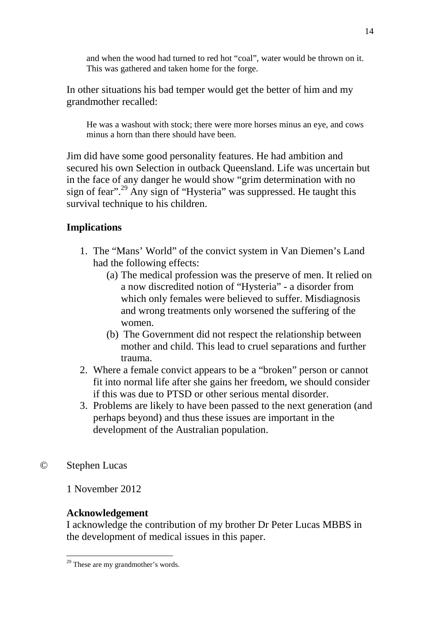and when the wood had turned to red hot "coal", water would be thrown on it. This was gathered and taken home for the forge.

In other situations his bad temper would get the better of him and my grandmother recalled:

He was a washout with stock; there were more horses minus an eye, and cows minus a horn than there should have been.

Jim did have some good personality features. He had ambition and secured his own Selection in outback Queensland. Life was uncertain but in the face of any danger he would show "grim determination with no sign of fear".<sup>29</sup> Any sign of "Hysteria" was suppressed. He taught this survival technique to his children.

# **Implications**

- 1. The "Mans' World" of the convict system in Van Diemen's Land had the following effects:
	- (a) The medical profession was the preserve of men. It relied on a now discredited notion of "Hysteria" - a disorder from which only females were believed to suffer. Misdiagnosis and wrong treatments only worsened the suffering of the women.
	- (b) The Government did not respect the relationship between mother and child. This lead to cruel separations and further trauma.
- 2. Where a female convict appears to be a "broken" person or cannot fit into normal life after she gains her freedom, we should consider if this was due to PTSD or other serious mental disorder.
- 3. Problems are likely to have been passed to the next generation (and perhaps beyond) and thus these issues are important in the development of the Australian population.
- © Stephen Lucas

1 November 2012

# **Acknowledgement**

I acknowledge the contribution of my brother Dr Peter Lucas MBBS in the development of medical issues in this paper.

 $\overline{a}$ <sup>29</sup> These are my grandmother's words.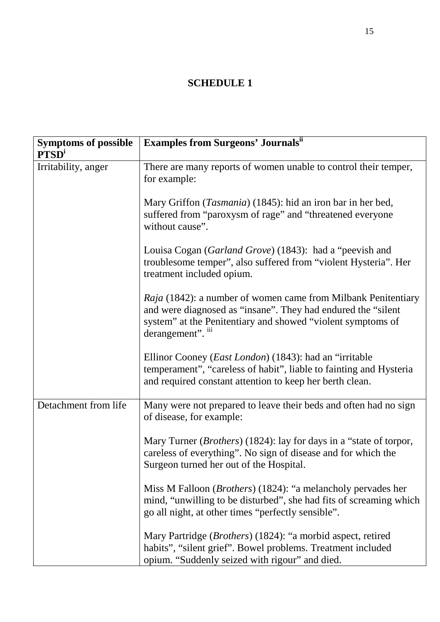# **SCHEDULE 1**

| <b>Symptoms of possible</b><br><b>PTSD</b> <sup>i</sup> | <b>Examples from Surgeons' Journals</b> "                                                                                                                                                                               |
|---------------------------------------------------------|-------------------------------------------------------------------------------------------------------------------------------------------------------------------------------------------------------------------------|
| Irritability, anger                                     | There are many reports of women unable to control their temper,<br>for example:                                                                                                                                         |
|                                                         | Mary Griffon ( <i>Tasmania</i> ) (1845): hid an iron bar in her bed,<br>suffered from "paroxysm of rage" and "threatened everyone<br>without cause".                                                                    |
|                                                         | Louisa Cogan (Garland Grove) (1843): had a "peevish and<br>troublesome temper", also suffered from "violent Hysteria". Her<br>treatment included opium.                                                                 |
|                                                         | <i>Raja</i> (1842): a number of women came from Milbank Penitentiary<br>and were diagnosed as "insane". They had endured the "silent"<br>system" at the Penitentiary and showed "violent symptoms of<br>derangement". " |
|                                                         | Ellinor Cooney ( <i>East London</i> ) (1843): had an "irritable<br>temperament", "careless of habit", liable to fainting and Hysteria<br>and required constant attention to keep her berth clean.                       |
| Detachment from life                                    | Many were not prepared to leave their beds and often had no sign<br>of disease, for example:                                                                                                                            |
|                                                         | Mary Turner ( <i>Brothers</i> ) (1824): lay for days in a "state of torpor,<br>careless of everything". No sign of disease and for which the<br>Surgeon turned her out of the Hospital.                                 |
|                                                         | Miss M Falloon ( <i>Brothers</i> ) (1824): "a melancholy pervades her<br>mind, "unwilling to be disturbed", she had fits of screaming which<br>go all night, at other times "perfectly sensible".                       |
|                                                         | Mary Partridge ( <i>Brothers</i> ) (1824): "a morbid aspect, retired<br>habits", "silent grief". Bowel problems. Treatment included<br>opium. "Suddenly seized with rigour" and died.                                   |